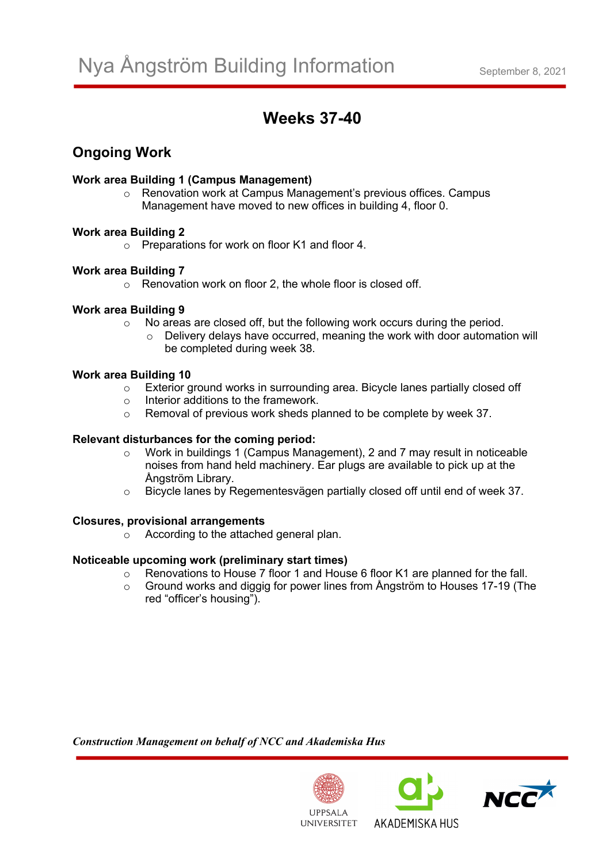# **Weeks 37-40**

## **Ongoing Work**

#### **Work area Building 1 (Campus Management)**

o Renovation work at Campus Management's previous offices. Campus Management have moved to new offices in building 4, floor 0.

#### **Work area Building 2**

o Preparations for work on floor K1 and floor 4.

#### **Work area Building 7**

o Renovation work on floor 2, the whole floor is closed off.

#### **Work area Building 9**

- o No areas are closed off, but the following work occurs during the period.
	- o Delivery delays have occurred, meaning the work with door automation will be completed during week 38.

#### **Work area Building 10**

- $\circ$  Exterior ground works in surrounding area. Bicycle lanes partially closed off  $\circ$  Interior additions to the framework.
- Interior additions to the framework.
- o Removal of previous work sheds planned to be complete by week 37.

#### **Relevant disturbances for the coming period:**

- o Work in buildings 1 (Campus Management), 2 and 7 may result in noticeable noises from hand held machinery. Ear plugs are available to pick up at the Ångström Library.
- o Bicycle lanes by Regementesvägen partially closed off until end of week 37.

#### **Closures, provisional arrangements**

 $\circ$  According to the attached general plan.

### **Noticeable upcoming work (preliminary start times)**

- $\circ$  Renovations to House 7 floor 1 and House 6 floor K1 are planned for the fall.
- o Ground works and diggig for power lines from Ångström to Houses 17-19 (The red "officer's housing").

*Construction Management on behalf of NCC and Akademiska Hus*



AKADEMISKA HUS